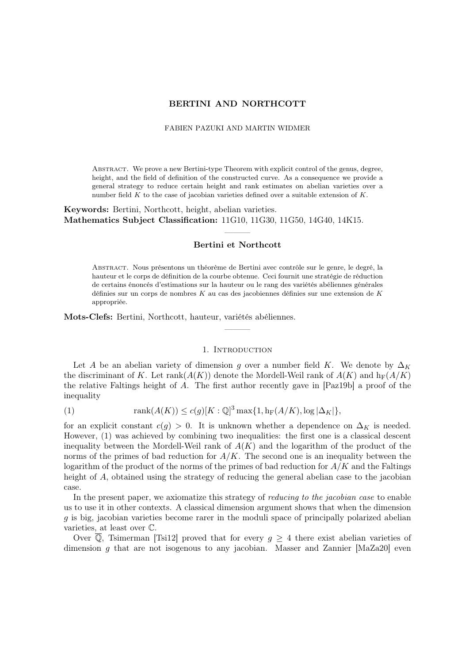## BERTINI AND NORTHCOTT

### FABIEN PAZUKI AND MARTIN WIDMER

ABSTRACT. We prove a new Bertini-type Theorem with explicit control of the genus, degree, height, and the field of definition of the constructed curve. As a consequence we provide a general strategy to reduce certain height and rank estimates on abelian varieties over a number field  $K$  to the case of jacobian varieties defined over a suitable extension of  $K$ .

Keywords: Bertini, Northcott, height, abelian varieties. Mathematics Subject Classification: 11G10, 11G30, 11G50, 14G40, 14K15.

# ——— Bertini et Northcott

Abstract. Nous présentons un théorème de Bertini avec contrôle sur le genre, le degré, la hauteur et le corps de définition de la courbe obtenue. Ceci fournit une stratégie de réduction de certains énoncés d'estimations sur la hauteur ou le rang des variétés abéliennes générales définies sur un corps de nombres  $K$  au cas des jacobiennes définies sur une extension de  $K$ appropriée.

Mots-Clefs: Bertini, Northcott, hauteur, variétés abéliennes.

## 1. INTRODUCTION

———

Let A be an abelian variety of dimension g over a number field K. We denote by  $\Delta_K$ the discriminant of K. Let  $rank(A(K))$  denote the Mordell-Weil rank of  $A(K)$  and  $h_F(A/K)$ the relative Faltings height of A. The first author recently gave in [Paz19b] a proof of the inequality

(1)  $rank(A(K)) \leq c(q)[K:\mathbb{Q}]^3 \max\{1, \mathbf{h}_F(A/K), \log |\Delta_K|\},$ 

for an explicit constant  $c(q) > 0$ . It is unknown whether a dependence on  $\Delta_K$  is needed. However, (1) was achieved by combining two inequalities: the first one is a classical descent inequality between the Mordell-Weil rank of  $A(K)$  and the logarithm of the product of the norms of the primes of bad reduction for  $A/K$ . The second one is an inequality between the logarithm of the product of the norms of the primes of bad reduction for  $A/K$  and the Faltings height of A, obtained using the strategy of reducing the general abelian case to the jacobian case.

In the present paper, we axiomatize this strategy of *reducing to the jacobian case* to enable us to use it in other contexts. A classical dimension argument shows that when the dimension g is big, jacobian varieties become rarer in the moduli space of principally polarized abelian varieties, at least over C.

Over  $\overline{\mathbb{Q}}$ , Tsimerman [Tsi12] proved that for every  $g \geq 4$  there exist abelian varieties of dimension q that are not isogenous to any jacobian. Masser and Zannier  $[MaZa20]$  even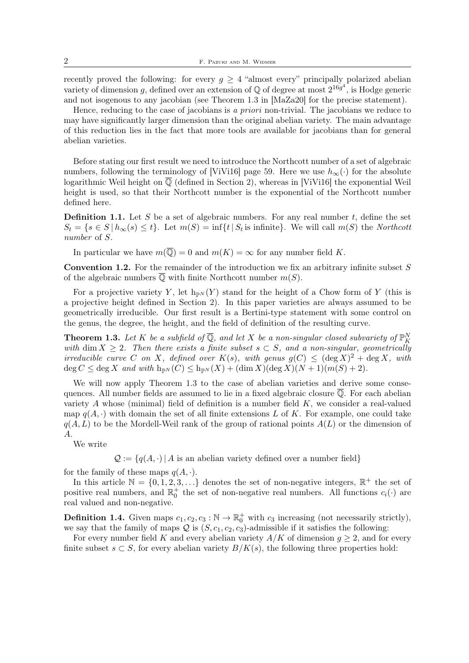recently proved the following: for every  $g \geq 4$  "almost every" principally polarized abelian variety of dimension g, defined over an extension of Q of degree at most  $2^{16g^4}$ , is Hodge generic and not isogenous to any jacobian (see Theorem 1.3 in [MaZa20] for the precise statement).

Hence, reducing to the case of jacobians is a priori non-trivial. The jacobians we reduce to may have significantly larger dimension than the original abelian variety. The main advantage of this reduction lies in the fact that more tools are available for jacobians than for general abelian varieties.

Before stating our first result we need to introduce the Northcott number of a set of algebraic numbers, following the terminology of [ViVi16] page 59. Here we use  $h_{\infty}(\cdot)$  for the absolute logarithmic Weil height on  $\overline{Q}$  (defined in Section 2), whereas in [ViVi16] the exponential Weil height is used, so that their Northcott number is the exponential of the Northcott number defined here.

**Definition 1.1.** Let S be a set of algebraic numbers. For any real number  $t$ , define the set  $S_t = \{s \in S \mid h_\infty(s) \leq t\}.$  Let  $m(S) = \inf\{t \mid S_t \text{ is infinite}\}.$  We will call  $m(S)$  the Northcott number of S.

In particular we have  $m(\overline{Q}) = 0$  and  $m(K) = \infty$  for any number field K.

**Convention 1.2.** For the remainder of the introduction we fix an arbitrary infinite subset  $S$ of the algebraic numbers  $\overline{\mathbb{Q}}$  with finite Northcott number  $m(S)$ .

For a projective variety Y, let  $h_{\mathbb{P}N}(Y)$  stand for the height of a Chow form of Y (this is a projective height defined in Section 2). In this paper varieties are always assumed to be geometrically irreducible. Our first result is a Bertini-type statement with some control on the genus, the degree, the height, and the field of definition of the resulting curve.

**Theorem 1.3.** Let K be a subfield of  $\overline{Q}$ , and let X be a non-singular closed subvariety of  $\mathbb{P}_K^N$ with dim  $X \geq 2$ . Then there exists a finite subset  $s \subset S$ , and a non-singular, geometrically irreducible curve C on X, defined over  $K(s)$ , with genus  $g(C) \leq (\deg X)^2 + \deg X$ , with  $\deg C \leq \deg X$  and with  $h_{\mathbb{P}^N}(C) \leq h_{\mathbb{P}^N}(X) + (\dim X)(\deg X)(N+1)(m(S) + 2).$ 

We will now apply Theorem 1.3 to the case of abelian varieties and derive some consequences. All number fields are assumed to lie in a fixed algebraic closure  $\overline{Q}$ . For each abelian variety  $A$  whose (minimal) field of definition is a number field  $K$ , we consider a real-valued map  $q(A, \cdot)$  with domain the set of all finite extensions L of K. For example, one could take  $q(A, L)$  to be the Mordell-Weil rank of the group of rational points  $A(L)$  or the dimension of A.

We write

 $\mathcal{Q} := \{q(A, \cdot) | A$  is an abelian variety defined over a number field}

for the family of these maps  $q(A, \cdot)$ .

In this article  $\mathbb{N} = \{0, 1, 2, 3, \ldots\}$  denotes the set of non-negative integers,  $\mathbb{R}^+$  the set of positive real numbers, and  $\mathbb{R}_0^+$  the set of non-negative real numbers. All functions  $c_i(\cdot)$  are real valued and non-negative.

**Definition 1.4.** Given maps  $c_1, c_2, c_3 : \mathbb{N} \to \mathbb{R}_0^+$  with  $c_3$  increasing (not necessarily strictly), we say that the family of maps  $Q$  is  $(S, c_1, c_2, c_3)$ -admissible if it satisfies the following:

For every number field K and every abelian variety  $A/K$  of dimension  $q \geq 2$ , and for every finite subset  $s \subset S$ , for every abelian variety  $B/K(s)$ , the following three properties hold: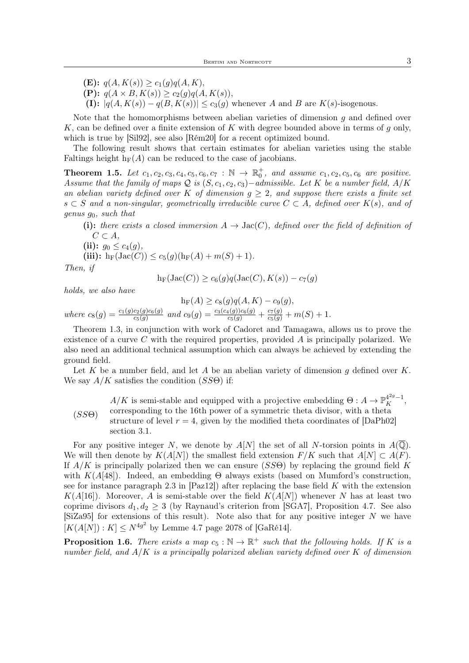(E):  $q(A, K(s)) \geq c_1(q)q(A, K),$ 

(P):  $q(A \times B, K(s)) \ge c_2(g)q(A, K(s)),$ 

(I):  $|q(A, K(s)) - q(B, K(s))| \le c_3(q)$  whenever A and B are  $K(s)$ -isogenous.

Note that the homomorphisms between abelian varieties of dimension  $q$  and defined over K, can be defined over a finite extension of K with degree bounded above in terms of  $q$  only, which is true by [Sil92], see also [Rém20] for a recent optimized bound.

The following result shows that certain estimates for abelian varieties using the stable Faltings height  $h_F(A)$  can be reduced to the case of jacobians.

**Theorem 1.5.** Let  $c_1, c_2, c_3, c_4, c_5, c_6, c_7 : \mathbb{N} \to \mathbb{R}_0^+$ , and assume  $c_1, c_2, c_5, c_6$  are positive. Assume that the family of maps  $\mathcal Q$  is  $(S, c_1, c_2, c_3)$  –admissible. Let K be a number field, A/K an abelian variety defined over K of dimension  $g \geq 2$ , and suppose there exists a finite set  $s \subset S$  and a non-singular, geometrically irreducible curve  $C \subset A$ , defined over  $K(s)$ , and of genus  $q_0$ , such that

(i): there exists a closed immersion  $A \to \text{Jac}(C)$ , defined over the field of definition of  $C \subset A$ ,

(ii):  $q_0 \leq c_4(q)$ ,

(iii):  $h_F(\text{Jac}(C)) \leq c_5(g)(h_F(A) + m(S) + 1)$ .

Then, if

$$
h_F(\operatorname{Jac}(C)) \ge c_6(g)q(\operatorname{Jac}(C), K(s)) - c_7(g)
$$

holds, we also have

$$
h_F(A) \ge c_8(g)q(A, K) - c_9(g),
$$
  
where  $c_8(g) = \frac{c_1(g)c_2(g)c_6(g)}{c_5(g)}$  and  $c_9(g) = \frac{c_3(c_4(g))c_6(g)}{c_5(g)} + \frac{c_7(g)}{c_5(g)} + m(S) + 1.$ 

Theorem 1.3, in conjunction with work of Cadoret and Tamagawa, allows us to prove the existence of a curve C with the required properties, provided  $A$  is principally polarized. We also need an additional technical assumption which can always be achieved by extending the ground field.

Let K be a number field, and let A be an abelian variety of dimension g defined over K. We say  $A/K$  satisfies the condition  $(SS\Theta)$  if:

 $(SS\Theta)$  $A/K$  is semi-stable and equipped with a projective embedding  $\Theta: A \to \mathbb{P}^{4^{2g}-1}_K$ , corresponding to the 16th power of a symmetric theta divisor, with a theta structure of level  $r = 4$ , given by the modified theta coordinates of  $[DaPh02]$ section 3.1.

For any positive integer N, we denote by  $A[N]$  the set of all N-torsion points in  $A(\overline{\mathbb{Q}})$ . We will then denote by  $K(A[N])$  the smallest field extension  $F/K$  such that  $A[N] \subset A(F)$ . If  $A/K$  is principally polarized then we can ensure (SSO) by replacing the ground field K with  $K(A[48])$ . Indeed, an embedding  $\Theta$  always exists (based on Mumford's construction, see for instance paragraph 2.3 in  $[Paz12]$ ) after replacing the base field K with the extension  $K(A[16])$ . Moreover, A is semi-stable over the field  $K(A[N])$  whenever N has at least two coprime divisors  $d_1, d_2 \geq 3$  (by Raynaud's criterion from [SGA7], Proposition 4.7. See also [SiZa95] for extensions of this result). Note also that for any positive integer  $N$  we have  $[K(A[N]) : K] \leq N^{4g^2}$  by Lemme 4.7 page 2078 of [GaRé14].

**Proposition 1.6.** There exists a map  $c_5 : \mathbb{N} \to \mathbb{R}^+$  such that the following holds. If K is a number field, and  $A/K$  is a principally polarized abelian variety defined over K of dimension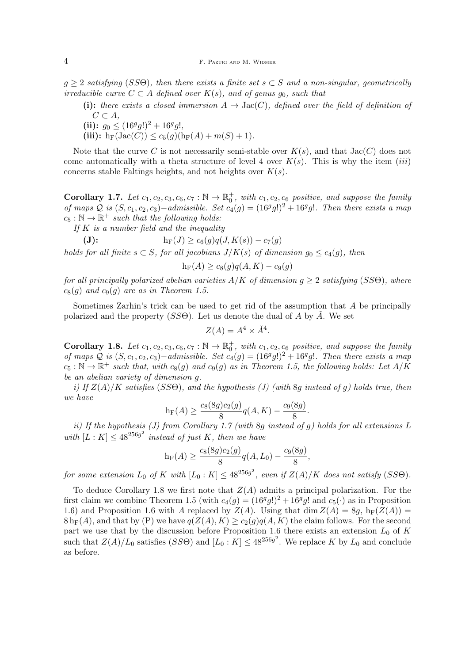$g \geq 2$  satisfying (SSO), then there exists a finite set  $s \subset S$  and a non-singular, geometrically irreducible curve  $C \subset A$  defined over  $K(s)$ , and of genus  $q_0$ , such that

- (i): there exists a closed immersion  $A \to \text{Jac}(C)$ , defined over the field of definition of  $C \subset A$ ,
- (ii):  $g_0 \le (16^g g!)^2 + 16^g g!$ ,
- (iii):  $h_F(Jac(C)) \leq c_5(g)(h_F(A) + m(S) + 1)$ .

Note that the curve C is not necessarily semi-stable over  $K(s)$ , and that  $Jac(C)$  does not come automatically with a theta structure of level 4 over  $K(s)$ . This is why the item *(iii)* concerns stable Faltings heights, and not heights over  $K(s)$ .

**Corollary 1.7.** Let  $c_1, c_2, c_3, c_6, c_7 : \mathbb{N} \to \mathbb{R}_0^+$ , with  $c_1, c_2, c_6$  positive, and suppose the family of maps Q is  $(S, c_1, c_2, c_3)$  – admissible. Set  $c_4(g) = (16^g g!)^2 + 16^g g!$ . Then there exists a map  $c_5 : \mathbb{N} \to \mathbb{R}^+$  such that the following holds:

If  $K$  is a number field and the inequality

(J):  $h_F(J) \ge c_6(g)q(J, K(s)) - c_7(g)$ 

holds for all finite  $s \subset S$ , for all jacobians  $J/K(s)$  of dimension  $g_0 \leq c_4(g)$ , then

$$
h_F(A) \ge c_8(g)q(A,K) - c_9(g)
$$

for all principally polarized abelian varieties  $A/K$  of dimension  $q > 2$  satisfying (SSO), where  $c_8(q)$  and  $c_9(q)$  are as in Theorem 1.5.

Sometimes Zarhin's trick can be used to get rid of the assumption that  $A$  be principally polarized and the property  $(SS\Theta)$ . Let us denote the dual of A by  $\AA$ . We set

$$
Z(A) = A^4 \times \check{A}^4.
$$

Corollary 1.8. Let  $c_1, c_2, c_3, c_6, c_7 : \mathbb{N} \to \mathbb{R}_0^+$ , with  $c_1, c_2, c_6$  positive, and suppose the family of maps Q is  $(S, c_1, c_2, c_3)$  – admissible. Set  $c_4(g) = (16^g g!)^2 + 16^g g!$ . Then there exists a map  $c_5 : \mathbb{N} \to \mathbb{R}^+$  such that, with  $c_8(g)$  and  $c_9(g)$  as in Theorem 1.5, the following holds: Let  $A/K$ be an abelian variety of dimension g.

i) If  $Z(A)/K$  satisfies (SSO), and the hypothesis (J) (with 8q instead of q) holds true, then we have

$$
h_F(A) \ge \frac{c_8(8g)c_2(g)}{8}q(A,K) - \frac{c_9(8g)}{8}.
$$

ii) If the hypothesis (J) from Corollary 1.7 (with 8g instead of g) holds for all extensions  $L$ with  $[L:K] \leq 48^{256g^2}$  instead of just K, then we have

$$
h_F(A) \ge \frac{c_8(8g)c_2(g)}{8}q(A, L_0) - \frac{c_9(8g)}{8},
$$

for some extension  $L_0$  of K with  $[L_0:K] \leq 48^{256g^2}$ , even if  $Z(A)/K$  does not satisfy  $(SS\Theta)$ .

To deduce Corollary 1.8 we first note that  $Z(A)$  admits a principal polarization. For the first claim we combine Theorem 1.5 (with  $c_4(g) = (16^g g!)^2 + 16^g g!$  and  $c_5(\cdot)$  as in Proposition 1.6) and Proposition 1.6 with A replaced by  $Z(A)$ . Using that dim  $Z(A) = 8g$ ,  $h_F(Z(A)) =$  $8\,\text{h}_\text{F}(A)$ , and that by (P) we have  $q(Z(A), K) \geq c_2(q)q(A, K)$  the claim follows. For the second part we use that by the discussion before Proposition 1.6 there exists an extension  $L_0$  of K such that  $Z(A)/L_0$  satisfies  $(SS\Theta)$  and  $[L_0: K] \leq 48^{256g^2}$ . We replace K by  $L_0$  and conclude as before.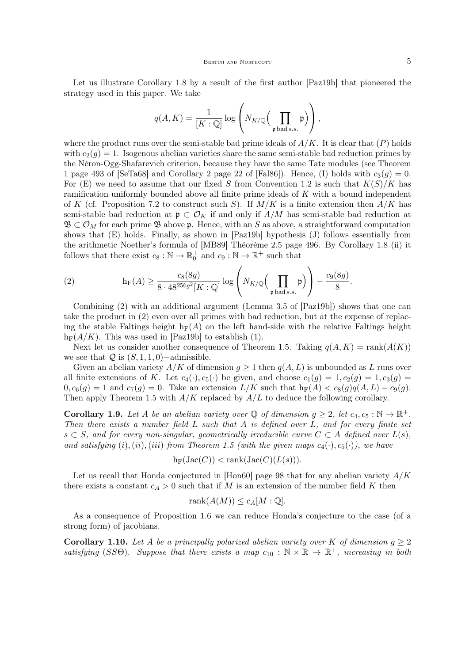Let us illustrate Corollary 1.8 by a result of the first author [Paz19b] that pioneered the strategy used in this paper. We take

$$
q(A, K) = \frac{1}{[K:\mathbb{Q}]} \log \left( N_{K/\mathbb{Q}} \left( \prod_{\substack{\mathfrak{p} \text{ bad } s.s.}} \mathfrak{p} \right) \right),
$$

where the product runs over the semi-stable bad prime ideals of  $A/K$ . It is clear that  $(P)$  holds with  $c_2(q) = 1$ . Isogenous abelian varieties share the same semi-stable bad reduction primes by the Néron-Ogg-Shafarevich criterion, because they have the same Tate modules (see Theorem 1 page 493 of [SeTa68] and Corollary 2 page 22 of [Fal86]). Hence, (I) holds with  $c_3(q) = 0$ . For  $(E)$  we need to assume that our fixed S from Convention 1.2 is such that  $K(S)/K$  has ramification uniformly bounded above all finite prime ideals of K with a bound independent of K (cf. Proposition 7.2 to construct such S). If  $M/K$  is a finite extension then  $A/K$  has semi-stable bad reduction at  $\mathfrak{p} \subset \mathcal{O}_K$  if and only if  $A/M$  has semi-stable bad reduction at  $\mathfrak{B} \subset \mathcal{O}_M$  for each prime  $\mathfrak{B}$  above p. Hence, with an S as above, a straightforward computation shows that (E) holds. Finally, as shown in [Paz19b] hypothesis (J) follows essentially from the arithmetic Noether's formula of [MB89] Théorème 2.5 page 496. By Corollary 1.8 (ii) it follows that there exist  $c_8 : \mathbb{N} \to \mathbb{R}_0^+$  and  $c_9 : \mathbb{N} \to \mathbb{R}^+$  such that

(2) 
$$
\mathrm{h}_{\mathrm{F}}(A) \geq \frac{c_8(8g)}{8 \cdot 48^{256g^2}[K:\mathbb{Q}]} \log \left(N_{K/\mathbb{Q}}\left(\prod_{\mathfrak{p} \text{ bad }s.s.} \mathfrak{p}\right)\right) - \frac{c_9(8g)}{8}.
$$

Combining (2) with an additional argument (Lemma 3.5 of [Paz19b]) shows that one can take the product in (2) even over all primes with bad reduction, but at the expense of replacing the stable Faltings height  $h_F(A)$  on the left hand-side with the relative Faltings height  $h_F(A/K)$ . This was used in [Paz19b] to establish (1).

Next let us consider another consequence of Theorem 1.5. Taking  $q(A, K) = \text{rank}(A(K))$ we see that  $Q$  is  $(S, 1, 1, 0)$  –admissible.

Given an abelian variety  $A/K$  of dimension  $q \ge 1$  then  $q(A, L)$  is unbounded as L runs over all finite extensions of K. Let  $c_4(\cdot), c_5(\cdot)$  be given, and choose  $c_1(g) = 1, c_2(g) = 1, c_3(g) =$  $0, c_6(g) = 1$  and  $c_7(g) = 0$ . Take an extension  $L/K$  such that  $h_F(A) < c_8(g)q(A, L) - c_9(g)$ . Then apply Theorem 1.5 with  $A/K$  replaced by  $A/L$  to deduce the following corollary.

**Corollary 1.9.** Let A be an abelian variety over  $\overline{Q}$  of dimension  $g \geq 2$ , let  $c_4, c_5 : \mathbb{N} \to \mathbb{R}^+$ . Then there exists a number field  $L$  such that  $A$  is defined over  $L$ , and for every finite set  $s \subset S$ , and for every non-singular, geometrically irreducible curve  $C \subset A$  defined over  $L(s)$ , and satisfying (i),(ii),(iii) from Theorem 1.5 (with the given maps  $c_4(\cdot), c_5(\cdot)$ ), we have

$$
h_F(\operatorname{Jac}(C)) < \operatorname{rank}(\operatorname{Jac}(C)(L(s))).
$$

Let us recall that Honda conjectured in  $[Hom60]$  page 98 that for any abelian variety  $A/K$ there exists a constant  $c_A > 0$  such that if M is an extension of the number field K then

$$
rank(A(M)) \le c_A[M : \mathbb{Q}].
$$

As a consequence of Proposition 1.6 we can reduce Honda's conjecture to the case (of a strong form) of jacobians.

**Corollary 1.10.** Let A be a principally polarized abelian variety over K of dimension  $g \geq 2$ satisfying (SSO). Suppose that there exists a map  $c_{10} : \mathbb{N} \times \mathbb{R} \to \mathbb{R}^+$ , increasing in both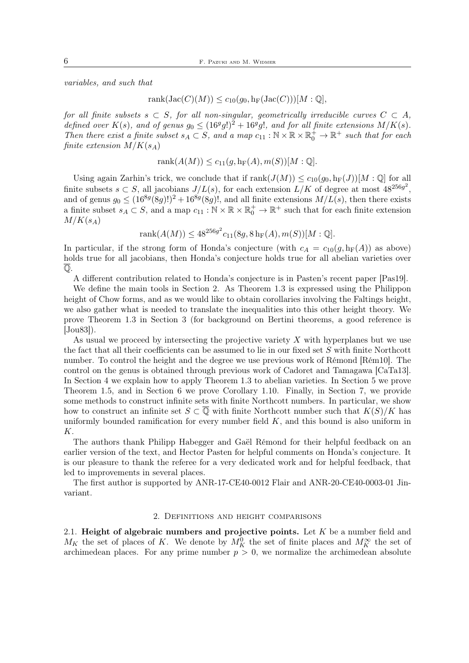variables, and such that

rank $(\text{Jac}(C)(M)) \leq c_{10}(g_0, h_F(\text{Jac}(C)))[M : \mathbb{Q}],$ 

for all finite subsets  $s \subset S$ , for all non-singular, geometrically irreducible curves  $C \subset A$ , defined over  $K(s)$ , and of genus  $g_0 \leq (16^g g!)^2 + 16^g g!$ , and for all finite extensions  $M/K(s)$ . Then there exist a finite subset  $s_A \subset S$ , and a map  $c_{11} : \mathbb{N} \times \mathbb{R} \times \mathbb{R}_0^+ \to \mathbb{R}^+$  such that for each finite extension  $M/K(s_A)$ 

$$
rank(A(M)) \leq c_{11}(g, h_F(A), m(S))[M:\mathbb{Q}].
$$

Using again Zarhin's trick, we conclude that if  $rank(J(M)) \leq c_{10}(q_0, h_F(J))[M:\mathbb{Q}]$  for all finite subsets  $s \text{ }\subset S$ , all jacobians  $J/L(s)$ , for each extension  $L/K$  of degree at most  $48^{256g^2}$ , and of genus  $g_0 \leq (16^{8g}(8g)!)^2 + 16^{8g}(8g)!$ , and all finite extensions  $M/L(s)$ , then there exists a finite subset  $s_A \subset S$ , and a map  $c_{11} : \mathbb{N} \times \mathbb{R} \times \mathbb{R}_0^+ \to \mathbb{R}^+$  such that for each finite extension  $M/K(s_A)$ 

rank
$$
(A(M)) \leq 48^{256g^2} c_{11}(8g, 8\ln_F(A), m(S))[M:\mathbb{Q}].
$$

In particular, if the strong form of Honda's conjecture (with  $c_A = c_{10}(g, h_F(A))$  as above) holds true for all jacobians, then Honda's conjecture holds true for all abelian varieties over  $\overline{\mathbb{Q}}$ .

A different contribution related to Honda's conjecture is in Pasten's recent paper [Pas19].

We define the main tools in Section 2. As Theorem 1.3 is expressed using the Philippon height of Chow forms, and as we would like to obtain corollaries involving the Faltings height, we also gather what is needed to translate the inequalities into this other height theory. We prove Theorem 1.3 in Section 3 (for background on Bertini theorems, a good reference is [Jou83]).

As usual we proceed by intersecting the projective variety  $X$  with hyperplanes but we use the fact that all their coefficients can be assumed to lie in our fixed set S with finite Northcott number. To control the height and the degree we use previous work of Rémond [Rém10]. The control on the genus is obtained through previous work of Cadoret and Tamagawa [CaTa13]. In Section 4 we explain how to apply Theorem 1.3 to abelian varieties. In Section 5 we prove Theorem 1.5, and in Section 6 we prove Corollary 1.10. Finally, in Section 7, we provide some methods to construct infinite sets with finite Northcott numbers. In particular, we show how to construct an infinite set  $S \subset \overline{Q}$  with finite Northcott number such that  $K(S)/K$  has uniformly bounded ramification for every number field  $K$ , and this bound is also uniform in K.

The authors thank Philipp Habegger and Gaël Rémond for their helpful feedback on an earlier version of the text, and Hector Pasten for helpful comments on Honda's conjecture. It is our pleasure to thank the referee for a very dedicated work and for helpful feedback, that led to improvements in several places.

The first author is supported by ANR-17-CE40-0012 Flair and ANR-20-CE40-0003-01 Jinvariant.

### 2. Definitions and height comparisons

2.1. Height of algebraic numbers and projective points. Let  $K$  be a number field and  $M_K$  the set of places of K. We denote by  $M_K^0$  the set of finite places and  $M_K^{\infty}$  the set of archimedean places. For any prime number  $p > 0$ , we normalize the archimedean absolute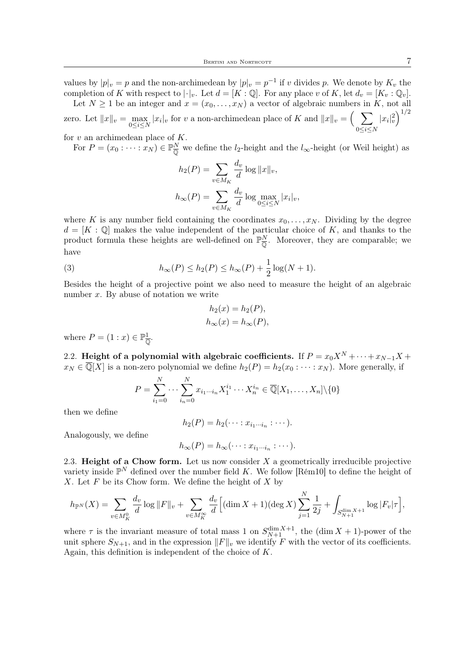values by  $|p|_v = p$  and the non-archimedean by  $|p|_v = p^{-1}$  if v divides p. We denote by  $K_v$  the completion of K with respect to  $|\cdot|_v$ . Let  $d = [K : \mathbb{Q}]$ . For any place v of K, let  $d_v = [K_v : \mathbb{Q}_v]$ .

Let  $N \geq 1$  be an integer and  $x = (x_0, \ldots, x_N)$  a vector of algebraic numbers in K, not all zero. Let  $||x||_v = \max_{0 \le i \le N} |x_i|_v$  for v a non-archimedean place of K and  $||x||_v = \Big(\sum_{0 \le i \le N} |x_i|_v\Big)$  $0 \leq i \leq N$  $|x_i|^2\bigg)^{1/2}$ 

for  $v$  an archimedean place of  $K$ .

For  $P = (x_0 : \cdots : x_N) \in \mathbb{P}_{\overline{Q}}^N$  we define the  $l_2$ -height and the  $l_\infty$ -height (or Weil height) as

$$
h_2(P) = \sum_{v \in M_K} \frac{d_v}{d} \log ||x||_v,
$$
  

$$
h_{\infty}(P) = \sum_{v \in M_K} \frac{d_v}{d} \log \max_{0 \le i \le N} |x_i|_v,
$$

where K is any number field containing the coordinates  $x_0, \ldots, x_N$ . Dividing by the degree  $d = [K : \mathbb{Q}]$  makes the value independent of the particular choice of K, and thanks to the product formula these heights are well-defined on  $\mathbb{P}_{\overline{0}}^N$ . Moreover, they are comparable; we have

(3) 
$$
h_{\infty}(P) \le h_2(P) \le h_{\infty}(P) + \frac{1}{2}\log(N+1).
$$

Besides the height of a projective point we also need to measure the height of an algebraic number  $x$ . By abuse of notation we write

$$
h_2(x) = h_2(P),
$$
  

$$
h_{\infty}(x) = h_{\infty}(P),
$$

where  $P = (1 : x) \in \mathbb{P}_{\overline{\mathbb{Q}}}^1$ .

2.2. Height of a polynomial with algebraic coefficients. If  $P = x_0 X^N + \cdots + x_{N-1} X +$  $x_N \in \overline{\mathbb{Q}}[X]$  is a non-zero polynomial we define  $h_2(P) = h_2(x_0 : \cdots : x_N)$ . More generally, if

$$
P = \sum_{i_1=0}^N \cdots \sum_{i_n=0}^N x_{i_1\cdots i_n} X_1^{i_1} \cdots X_n^{i_n} \in \overline{\mathbb{Q}}[X_1,\ldots,X_n] \setminus \{0\}
$$

then we define

$$
h_2(P)=h_2(\cdots :x_{i_1\cdots i_n}:\cdots).
$$

Analogously, we define

$$
h_{\infty}(P) = h_{\infty}(\cdots : x_{i_1\cdots i_n} : \cdots).
$$

2.3. Height of a Chow form. Let us now consider  $X$  a geometrically irreducible projective variety inside  $\mathbb{P}^N$  defined over the number field K. We follow [Rém10] to define the height of X. Let  $F$  be its Chow form. We define the height of  $X$  by

$$
h_{\mathbb{P}^N}(X) = \sum_{v \in M_K^0} \frac{d_v}{d} \log ||F||_v + \sum_{v \in M_K^\infty} \frac{d_v}{d} \Big[ (\dim X + 1)(\deg X) \sum_{j=1}^N \frac{1}{2j} + \int_{S_{N+1}^{\dim X + 1}} \log |F_v|\tau \Big],
$$

where  $\tau$  is the invariant measure of total mass 1 on  $S_{N+1}^{\dim X+1}$ , the  $(\dim X + 1)$ -power of the unit sphere  $S_{N+1}$ , and in the expression  $||F||_v$  we identify F with the vector of its coefficients. Again, this definition is independent of the choice of K.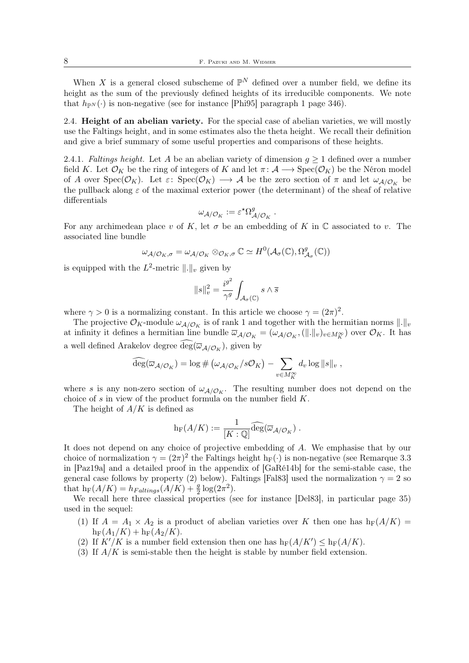When X is a general closed subscheme of  $\mathbb{P}^N$  defined over a number field, we define its height as the sum of the previously defined heights of its irreducible components. We note that  $h_{\mathbb{P}N}(\cdot)$  is non-negative (see for instance [Phi95] paragraph 1 page 346).

2.4. **Height of an abelian variety.** For the special case of abelian varieties, we will mostly use the Faltings height, and in some estimates also the theta height. We recall their definition and give a brief summary of some useful properties and comparisons of these heights.

2.4.1. Faltings height. Let A be an abelian variety of dimension  $g \ge 1$  defined over a number field K. Let  $\mathcal{O}_K$  be the ring of integers of K and let  $\pi: \mathcal{A} \longrightarrow \text{Spec}(\mathcal{O}_K)$  be the Néron model of A over Spec( $\mathcal{O}_K$ ). Let  $\varepsilon$ : Spec( $\mathcal{O}_K$ )  $\longrightarrow$  A be the zero section of  $\pi$  and let  $\omega_{\mathcal{A}/\mathcal{O}_K}$  be the pullback along  $\varepsilon$  of the maximal exterior power (the determinant) of the sheaf of relative differentials

$$
\omega_{\mathcal{A}/\mathcal{O}_K} := \varepsilon^\star \Omega_{\mathcal{A}/\mathcal{O}_K}^g \;.
$$

For any archimedean place v of K, let  $\sigma$  be an embedding of K in C associated to v. The associated line bundle

$$
\omega_{\mathcal{A}/\mathcal{O}_K,\sigma}=\omega_{\mathcal{A}/\mathcal{O}_K}\otimes_{\mathcal{O}_K,\sigma}\mathbb{C}\simeq H^0(\mathcal{A}_\sigma(\mathbb{C}),\Omega^g_{\mathcal{A}_\sigma}(\mathbb{C}))
$$

is equipped with the  $L^2$ -metric  $\|.\|_v$  given by

$$
\|s\|_v^2 = \frac{i^{g^2}}{\gamma^g} \int_{\mathcal{A}_\sigma(\mathbb{C})} s \wedge \overline{s}
$$

where  $\gamma > 0$  is a normalizing constant. In this article we choose  $\gamma = (2\pi)^2$ .

The projective  $\mathcal{O}_K$ -module  $\omega_{\mathcal{A}/\mathcal{O}_K}$  is of rank 1 and together with the hermitian norms  $\|.\|_v$ at infinity it defines a hermitian line bundle  $\overline{\omega}_{\mathcal{A}/\mathcal{O}_K} = (\omega_{\mathcal{A}/\mathcal{O}_K}, (\|\cdot\|_v)_{v \in M_K^{\infty}})$  over  $\mathcal{O}_K$ . It has a well defined Arakelov degree  $\deg(\overline{\omega}_{\mathcal{A}/\mathcal{O}_K})$ , given by

$$
\widehat{\deg}(\overline{\omega}_{\mathcal{A}/\mathcal{O}_K}) = \log \#\left(\omega_{\mathcal{A}/\mathcal{O}_K}/s\mathcal{O}_K\right) - \sum_{v \in M_K^{\infty}} d_v \log \|s\|_v,
$$

where s is any non-zero section of  $\omega_{\mathcal{A}/\mathcal{O}_K}$ . The resulting number does not depend on the choice of s in view of the product formula on the number field K.

The height of  $A/K$  is defined as

$$
\mathrm{h}_{\mathrm{F}}(A/K) := \frac{1}{[K:\mathbb{Q}]} \widehat{\mathrm{deg}}(\overline{\omega}_{\mathcal{A}/\mathcal{O}_K}) \ .
$$

It does not depend on any choice of projective embedding of A. We emphasise that by our choice of normalization  $\gamma = (2\pi)^2$  the Faltings height  $h_F(\cdot)$  is non-negative (see Remarque 3.3 in [Paz19a] and a detailed proof in the appendix of [GaRé14b] for the semi-stable case, the general case follows by property (2) below). Faltings [Fal83] used the normalization  $\gamma = 2$  so that  $h_F(A/K) = h_{Faltings}(A/K) + \frac{g}{2} \log(2\pi^2)$ .

We recall here three classical properties (see for instance [Del83], in particular page 35) used in the sequel:

- (1) If  $A = A_1 \times A_2$  is a product of abelian varieties over K then one has  $h_F(A/K)$  $h_F(A_1/K) + h_F(A_2/K).$
- (2) If  $K'/K$  is a number field extension then one has  $h_F(A/K') \leq h_F(A/K)$ .
- (3) If  $A/K$  is semi-stable then the height is stable by number field extension.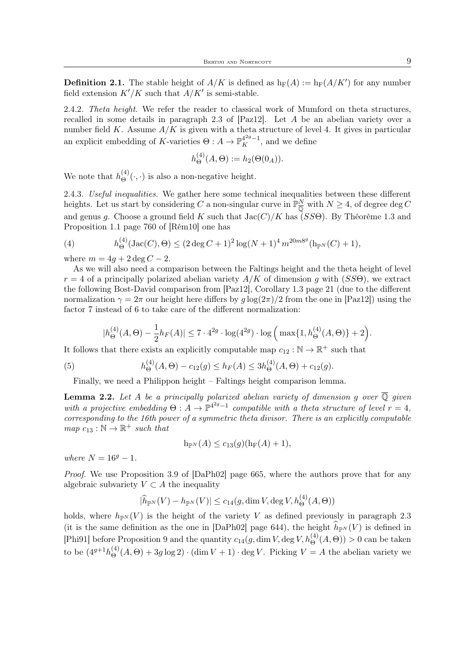**Definition 2.1.** The stable height of  $A/K$  is defined as  $h_F(A) := h_F(A/K')$  for any number field extension  $K'/K$  such that  $A/K'$  is semi-stable.

2.4.2. Theta height. We refer the reader to classical work of Mumford on theta structures, recalled in some details in paragraph 2.3 of  $[Paz12]$ . Let A be an abelian variety over a number field K. Assume  $A/K$  is given with a theta structure of level 4. It gives in particular an explicit embedding of K-varieties  $\Theta: A \to \mathbb{P}^{4^{2g}-1}_K$ , and we define

$$
h_{\Theta}^{(4)}(A,\Theta) := h_2(\Theta(0_A)).
$$

We note that  $h_{\Theta}^{(4)}$  $\Theta^{(4)}(\cdot,\cdot)$  is also a non-negative height.

2.4.3. Useful inequalities. We gather here some technical inequalities between these different heights. Let us start by considering C a non-singular curve in  $\mathbb{P}^N_{\overline{0}}$  with  $N \geq 4$ , of degree deg C and genus q. Choose a ground field K such that  $Jac(C)/K$  has  $(SS\Theta)$ . By Théorème 1.3 and Proposition 1.1 page 760 of [Rém10] one has

(4) 
$$
h_{\Theta}^{(4)}(\text{Jac}(C),\Theta) \leq (2 \deg C + 1)^2 \log(N+1)^4 m^{20m8^g}(\mathbf{h}_{\mathbb{P}^N}(C) + 1),
$$

where  $m = 4g + 2 \deg C - 2$ .

As we will also need a comparison between the Faltings height and the theta height of level  $r = 4$  of a principally polarized abelian variety  $A/K$  of dimension g with (SSO), we extract the following Bost-David comparison from [Paz12], Corollary 1.3 page 21 (due to the different normalization  $\gamma = 2\pi$  our height here differs by  $q \log(2\pi)/2$  from the one in [Paz12]) using the factor 7 instead of 6 to take care of the different normalization:

$$
|h_{\Theta}^{(4)}(A,\Theta) - \frac{1}{2}h_F(A)| \le 7 \cdot 4^{2g} \cdot \log(4^{2g}) \cdot \log\left(\max\{1, h_{\Theta}^{(4)}(A,\Theta)\} + 2\right).
$$

It follows that there exists an explicitly computable map  $c_{12} : \mathbb{N} \to \mathbb{R}^+$  such that

(5) 
$$
h_{\Theta}^{(4)}(A,\Theta) - c_{12}(g) \le h_F(A) \le 3h_{\Theta}^{(4)}(A,\Theta) + c_{12}(g).
$$

Finally, we need a Philippon height – Faltings height comparison lemma.

**Lemma 2.2.** Let A be a principally polarized abelian variety of dimension q over  $\overline{Q}$  given with a projective embedding  $\Theta: A \to \mathbb{P}^{4^{2g}-1}$  compatible with a theta structure of level  $r=4$ , corresponding to the 16th power of a symmetric theta divisor. There is an explicitly computable  $map \ c_{13} : \mathbb{N} \to \mathbb{R}^+$  such that

$$
h_{\mathbb{P}^N}(A) \leq c_{13}(g)(h_{\mathbb{F}}(A) + 1),
$$

where  $N = 16^g - 1$ .

Proof. We use Proposition 3.9 of [DaPh02] page 665, where the authors prove that for any algebraic subvariety  $V \subset A$  the inequality

$$
|\widehat{h}_{\mathbb{P}^N}(V) - h_{\mathbb{P}^N}(V)| \leq c_{14}(g, \dim V, \deg V, h_{\Theta}^{(4)}(A, \Theta))
$$

holds, where  $h_{\mathbb{P}^N}(V)$  is the height of the variety V as defined previously in paragraph 2.3 (it is the same definition as the one in [DaPh02] page 644), the height  $\widehat{h}_{\mathbb{P}^N}(V)$  is defined in [Phi91] before Proposition 9 and the quantity  $c_{14}(g, \dim V, \deg V, h_{\Theta}^{(4)}(A, \Theta)) > 0$  can be taken to be  $(4^{g+1}h_{\Theta}^{(4)})$  $\Theta^{(4)}(A,\Theta) + 3g \log 2 \cdot (\dim V + 1) \cdot \deg V$ . Picking  $V = A$  the abelian variety we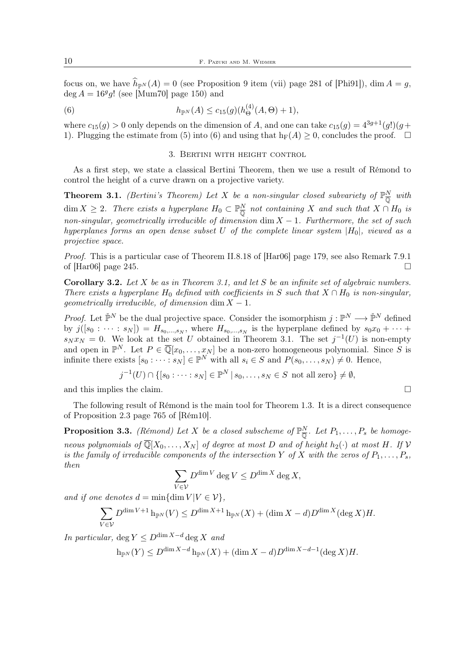focus on, we have  $\widehat{h}_{\mathbb{P}^N}(A) = 0$  (see Proposition 9 item (vii) page 281 of [Phi91]), dim  $A = q$ , deg  $A = 16<sup>g</sup>g!$  (see [Mum70] page 150) and

(6) 
$$
h_{\mathbb{P}^N}(A) \leq c_{15}(g)(h_{\Theta}^{(4)}(A,\Theta)+1),
$$

where  $c_{15}(g) > 0$  only depends on the dimension of A, and one can take  $c_{15}(g) = 4^{3g+1}(g!)(g+$ 1). Plugging the estimate from (5) into (6) and using that  $h_F(A) \geq 0$ , concludes the proof.  $\Box$ 

#### 3. Bertini with height control

As a first step, we state a classical Bertini Theorem, then we use a result of Rémond to control the height of a curve drawn on a projective variety.

**Theorem 3.1.** (Bertini's Theorem) Let X be a non-singular closed subvariety of  $\mathbb{P}_{\overline{0}}^N$  with  $\dim X \geq 2$ . There exists a hyperplane  $H_0 \subset \mathbb{P}_{\overline{0}}^N$  not containing X and such that  $X \cap H_0$  is non-singular, geometrically irreducible of dimension dim  $X - 1$ . Furthermore, the set of such hyperplanes forms an open dense subset U of the complete linear system  $|H_0|$ , viewed as a projective space.

Proof. This is a particular case of Theorem II.8.18 of [Har06] page 179, see also Remark 7.9.1 of  $[\text{Har06}]$  page 245.

**Corollary 3.2.** Let  $X$  be as in Theorem 3.1, and let  $S$  be an infinite set of algebraic numbers. There exists a hyperplane H<sub>0</sub> defined with coefficients in S such that  $X \cap H_0$  is non-singular, geometrically irreducible, of dimension dim  $X - 1$ .

*Proof.* Let  $\check{\mathbb{P}}^N$  be the dual projective space. Consider the isomorphism  $j : \mathbb{P}^N \longrightarrow \check{\mathbb{P}}^N$  defined by  $j([s_0: \cdots : s_N]) = H_{s_0,\ldots,s_N}$ , where  $H_{s_0,\ldots,s_N}$  is the hyperplane defined by  $s_0x_0 + \cdots$  $s_N x_N = 0$ . We look at the set U obtained in Theorem 3.1. The set  $j^{-1}(U)$  is non-empty and open in  $\mathbb{P}^N$ . Let  $P \in \overline{\mathbb{Q}}[x_0,\ldots,x_N]$  be a non-zero homogeneous polynomial. Since S is infinite there exists  $[s_0 : \cdots : s_N] \in \mathbb{P}^N$  with all  $s_i \in S$  and  $P(s_0, \ldots, s_N) \neq 0$ . Hence,

$$
j^{-1}(U) \cap \{ [s_0 : \dots : s_N] \in \mathbb{P}^N \mid s_0, \dots, s_N \in S \text{ not all zero} \} \neq \emptyset,
$$

and this implies the claim.

The following result of Rémond is the main tool for Theorem 1.3. It is a direct consequence of Proposition 2.3 page 765 of [Rém10].

**Proposition 3.3.** (Rémond) Let X be a closed subscheme of  $\mathbb{P}_{\overline{0}}^N$ . Let  $P_1, \ldots, P_s$  be homogeneous polynomials of  $\overline{\mathbb{Q}}[X_0,\ldots,X_N]$  of degree at most D and of height  $h_2(\cdot)$  at most H. If V is the family of irreducible components of the intersection Y of X with the zeros of  $P_1, \ldots, P_s$ , then

$$
\sum_{V\in \mathcal{V}} D^{\dim V} \deg V \leq D^{\dim X} \deg X,
$$

and if one denotes  $d = \min\{\dim V | V \in \mathcal{V}\}\,$ ,

$$
\sum_{V \in \mathcal{V}} D^{\dim V + 1} \operatorname{h}_{\mathbb{P}^N}(V) \le D^{\dim X + 1} \operatorname{h}_{\mathbb{P}^N}(X) + (\dim X - d) D^{\dim X} (\deg X) H.
$$

In particular, deg  $Y \n\leq D^{\dim X - d} \deg X$  and

$$
\mathrm{h}_{\mathbb{P}^N}(Y) \le D^{\dim X - d} \mathrm{h}_{\mathbb{P}^N}(X) + (\dim X - d)D^{\dim X - d - 1}(\deg X)H.
$$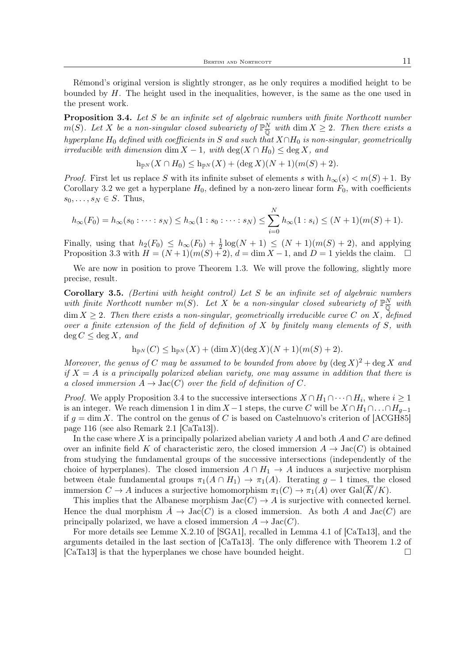Rémond's original version is slightly stronger, as he only requires a modified height to be bounded by  $H$ . The height used in the inequalities, however, is the same as the one used in the present work.

Proposition 3.4. Let S be an infinite set of algebraic numbers with finite Northcott number  $m(S)$ . Let X be a non-singular closed subvariety of  $\mathbb{P}_{\overline{Q}}^N$  with  $\dim X \geq 2$ . Then there exists a hyperplane H<sub>0</sub> defined with coefficients in S and such that  $X \cap H_0$  is non-singular, geometrically irreducible with dimension dim  $X - 1$ , with  $\deg(X \cap H_0) \leq \deg X$ , and

 $h_{\mathbb{P}N}(X \cap H_0) \leq h_{\mathbb{P}N}(X) + (\deg X)(N+1)(m(S) + 2).$ 

*Proof.* First let us replace S with its infinite subset of elements s with  $h_{\infty}(s) < m(S) + 1$ . By Corollary 3.2 we get a hyperplane  $H_0$ , defined by a non-zero linear form  $F_0$ , with coefficients  $s_0, \ldots, s_N \in S$ . Thus,

$$
h_{\infty}(F_0) = h_{\infty}(s_0 : \dots : s_N) \le h_{\infty}(1 : s_0 : \dots : s_N) \le \sum_{i=0}^N h_{\infty}(1 : s_i) \le (N+1)(m(S)+1).
$$

Finally, using that  $h_2(F_0) \leq h_{\infty}(F_0) + \frac{1}{2} \log(N+1) \leq (N+1)(m(S)+2)$ , and applying Proposition 3.3 with  $H = (N+1)(m(S) + 2)$ ,  $d = \dim X - 1$ , and  $D = 1$  yields the claim.  $\square$ 

We are now in position to prove Theorem 1.3. We will prove the following, slightly more precise, result.

Corollary 3.5. (Bertini with height control) Let  $S$  be an infinite set of algebraic numbers with finite Northcott number  $m(S)$ . Let X be a non-singular closed subvariety of  $\mathbb{P}_{\overline{0}}^N$  with  $\dim X \geq 2$ . Then there exists a non-singular, geometrically irreducible curve C on X, defined over a finite extension of the field of definition of  $X$  by finitely many elements of  $S$ , with  $\deg C \leq \deg X$ , and

$$
h_{\mathbb{P}^N}(C) \le h_{\mathbb{P}^N}(X) + (\dim X)(\deg X)(N+1)(m(S) + 2).
$$

Moreover, the genus of C may be assumed to be bounded from above by  $(\deg X)^2 + \deg X$  and if  $X = A$  is a principally polarized abelian variety, one may assume in addition that there is a closed immersion  $A \to \text{Jac}(C)$  over the field of definition of C.

*Proof.* We apply Proposition 3.4 to the successive intersections  $X \cap H_1 \cap \cdots \cap H_i$ , where  $i \geq 1$ is an integer. We reach dimension 1 in dim  $X-1$  steps, the curve C will be  $X \cap H_1 \cap ... \cap H_{g-1}$ if  $q = \dim X$ . The control on the genus of C is based on Castelnuovo's criterion of [ACGH85] page 116 (see also Remark 2.1 [CaTa13]).

In the case where X is a principally polarized abelian variety A and both A and C are defined over an infinite field K of characteristic zero, the closed immersion  $A \to \text{Jac}(C)$  is obtained from studying the fundamental groups of the successive intersections (independently of the choice of hyperplanes). The closed immersion  $A \cap H_1 \to A$  induces a surjective morphism between étale fundamental groups  $\pi_1(A \cap H_1) \to \pi_1(A)$ . Iterating  $g - 1$  times, the closed immersion  $C \to A$  induces a surjective homomorphism  $\pi_1(C) \to \pi_1(A)$  over  $Gal(\overline{K}/K)$ .

This implies that the Albanese morphism  $Jac(C) \to A$  is surjective with connected kernel. Hence the dual morphism  $A \to \text{Jac}(C)$  is a closed immersion. As both A and  $\text{Jac}(C)$  are principally polarized, we have a closed immersion  $A \to \text{Jac}(C)$ .

For more details see Lemme X.2.10 of [SGA1], recalled in Lemma 4.1 of [CaTa13], and the arguments detailed in the last section of [CaTa13]. The only difference with Theorem 1.2 of [CaTa13] is that the hyperplanes we chose have bounded height.  $\square$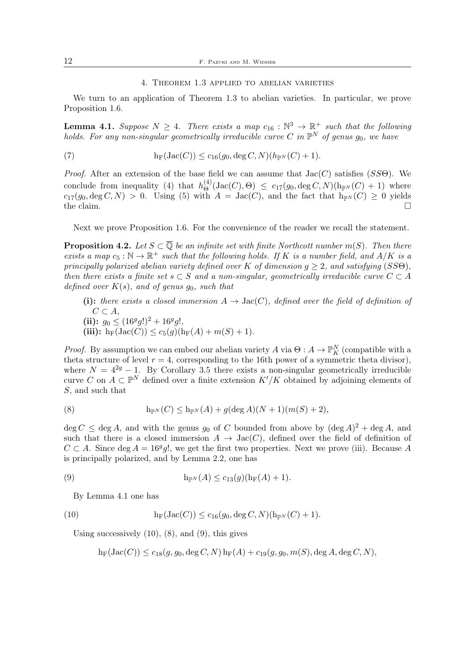### 4. Theorem 1.3 applied to abelian varieties

We turn to an application of Theorem 1.3 to abelian varieties. In particular, we prove Proposition 1.6.

**Lemma 4.1.** Suppose  $N \geq 4$ . There exists a map  $c_{16} : \mathbb{N}^3 \to \mathbb{R}^+$  such that the following holds. For any non-singular geometrically irreducible curve C in  $\mathbb{P}^N$  of genus  $g_0$ , we have

(7) 
$$
h_F(\text{Jac}(C)) \leq c_{16}(g_0, \deg C, N)(h_{\mathbb{P}^N}(C) + 1).
$$

*Proof.* After an extension of the base field we can assume that  $Jac(C)$  satisfies (SSO). We conclude from inequality (4) that  $h_{\Theta}^{(4)}$  $\Theta^{(4)}(\operatorname{Jac}(C), \Theta) \leq c_{17}(g_0, \deg C, N)(h_{\mathbb{P}^N}(C) + 1)$  where  $c_{17}(g_0, \deg C, N) > 0$ . Using (5) with  $A = \text{Jac}(C)$ , and the fact that  $h_{\mathbb{P}^N}(C) \geq 0$  yields the claim.

Next we prove Proposition 1.6. For the convenience of the reader we recall the statement.

**Proposition 4.2.** Let  $S \subset \overline{Q}$  be an infinite set with finite Northcott number  $m(S)$ . Then there exists a map  $c_5 : \mathbb{N} \to \mathbb{R}^+$  such that the following holds. If K is a number field, and  $A/K$  is a principally polarized abelian variety defined over K of dimension  $q > 2$ , and satisfying (SS $\Theta$ ), then there exists a finite set  $s \subset S$  and a non-singular, geometrically irreducible curve  $C \subset A$ defined over  $K(s)$ , and of genus  $g_0$ , such that

(i): there exists a closed immersion  $A \to \text{Jac}(C)$ , defined over the field of definition of  $C \subset A$ , (ii):  $g_0 \le (16^g g!)^2 + 16^g g!$ , (iii):  $h_F(\text{Jac}(C)) \leq c_5(g)(h_F(A) + m(S) + 1)$ .

*Proof.* By assumption we can embed our abelian variety  $A$  via  $\Theta: A \to \mathbb{P}^N_K$  (compatible with a theta structure of level  $r = 4$ , corresponding to the 16th power of a symmetric theta divisor), where  $N = 4^{2g} - 1$ . By Corollary 3.5 there exists a non-singular geometrically irreducible curve C on  $A \subset \mathbb{P}^N$  defined over a finite extension  $K'/K$  obtained by adjoining elements of S, and such that

(8) 
$$
h_{\mathbb{P}^N}(C) \le h_{\mathbb{P}^N}(A) + g(\deg A)(N+1)(m(S) + 2),
$$

 $\deg C \le \deg A$ , and with the genus  $g_0$  of C bounded from above by  $(\deg A)^2 + \deg A$ , and such that there is a closed immersion  $A \to \text{Jac}(C)$ , defined over the field of definition of  $C \subset A$ . Since deg  $A = 16^g g!$ , we get the first two properties. Next we prove (iii). Because A is principally polarized, and by Lemma 2.2, one has

(9) 
$$
h_{\mathbb{P}^N}(A) \leq c_{13}(g)(h_{\mathbb{F}}(A)+1).
$$

By Lemma 4.1 one has

(10) 
$$
h_F(\text{Jac}(C)) \leq c_{16}(g_0, \deg C, N)(h_{\mathbb{P}^N}(C) + 1).
$$

Using successively  $(10)$ ,  $(8)$ , and  $(9)$ , this gives

$$
h_F(\operatorname{Jac}(C)) \le c_{18}(g, g_0, \deg C, N) h_F(A) + c_{19}(g, g_0, m(S), \deg A, \deg C, N),
$$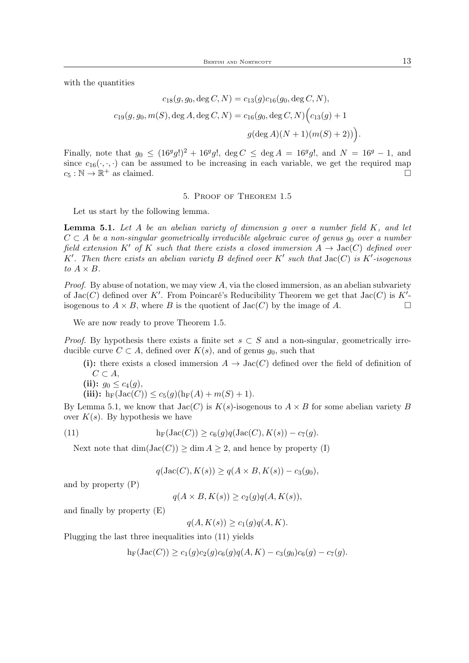with the quantities

$$
c_{18}(g, g_0, \deg C, N) = c_{13}(g)c_{16}(g_0, \deg C, N),
$$
  

$$
c_{19}(g, g_0, m(S), \deg A, \deg C, N) = c_{16}(g_0, \deg C, N) (c_{13}(g) + 1)
$$
  

$$
g(\deg A)(N + 1)(m(S) + 2)).
$$

Finally, note that  $g_0 \le (16^g g!)^2 + 16^g g!$ ,  $\deg C \le \deg A = 16^g g!$ , and  $N = 16^g - 1$ , and since  $c_{16}(\cdot, \cdot, \cdot)$  can be assumed to be increasing in each variable, we get the required map  $c_5 : \mathbb{N} \to \mathbb{R}^+$  as claimed.

# 5. Proof of Theorem 1.5

Let us start by the following lemma.

**Lemma 5.1.** Let A be an abelian variety of dimension g over a number field  $K$ , and let  $C \subset A$  be a non-singular geometrically irreducible algebraic curve of genus  $q_0$  over a number field extension K' of K such that there exists a closed immersion  $A \to \text{Jac}(C)$  defined over K'. Then there exists an abelian variety B defined over K' such that  $Jac(C)$  is K'-isogenous to  $A \times B$ .

*Proof.* By abuse of notation, we may view  $A$ , via the closed immersion, as an abelian subvariety of Jac(C) defined over K'. From Poincaré's Reducibility Theorem we get that  $Jac(C)$  is K'isogenous to  $A \times B$ , where B is the quotient of Jac(C) by the image of A.

We are now ready to prove Theorem 1.5.

*Proof.* By hypothesis there exists a finite set  $s \subset S$  and a non-singular, geometrically irreducible curve  $C \subset A$ , defined over  $K(s)$ , and of genus  $q_0$ , such that

(i): there exists a closed immersion  $A \to \text{Jac}(C)$  defined over the field of definition of  $C \subset A$ , (ii):  $g_0 \leq c_4(g)$ ,

(iii):  $h_F(\text{Jac}(C)) \leq c_5(g)(h_F(A) + m(S) + 1).$ 

By Lemma 5.1, we know that  $Jac(C)$  is  $K(s)$ -isogenous to  $A \times B$  for some abelian variety B over  $K(s)$ . By hypothesis we have

(11) 
$$
h_F(\text{Jac}(C)) \ge c_6(g)q(\text{Jac}(C), K(s)) - c_7(g).
$$

Next note that  $\dim(\operatorname{Jac}(C)) \ge \dim A \ge 2$ , and hence by property (I)

$$
q(\operatorname{Jac}(C), K(s)) \ge q(A \times B, K(s)) - c_3(g_0),
$$

and by property (P)

$$
q(A \times B, K(s)) \ge c_2(g)q(A, K(s)),
$$

and finally by property (E)

$$
q(A, K(s)) \ge c_1(g)q(A, K).
$$

Plugging the last three inequalities into (11) yields

$$
h_{\mathcal{F}}(\operatorname{Jac}(C)) \ge c_1(g)c_2(g)c_6(g)q(A,K) - c_3(g_0)c_6(g) - c_7(g).
$$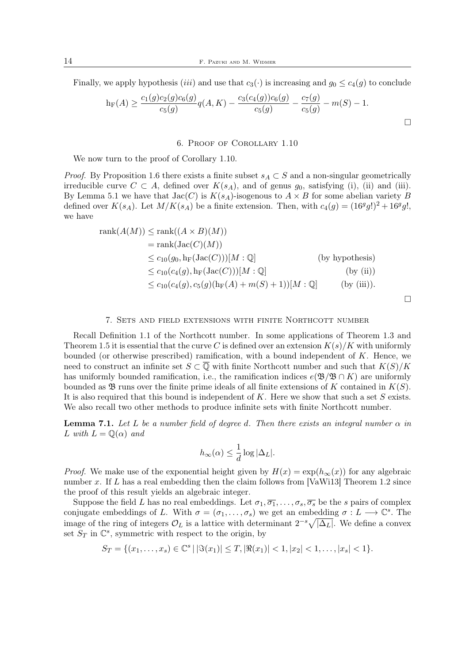Finally, we apply hypothesis (*iii*) and use that  $c_3(\cdot)$  is increasing and  $g_0 \leq c_4(q)$  to conclude

$$
h_F(A) \ge \frac{c_1(g)c_2(g)c_6(g)}{c_5(g)}q(A,K) - \frac{c_3(c_4(g))c_6(g)}{c_5(g)} - \frac{c_7(g)}{c_5(g)} - m(S) - 1.
$$

6. Proof of Corollary 1.10

We now turn to the proof of Corollary 1.10.

*Proof.* By Proposition 1.6 there exists a finite subset  $s_A \subset S$  and a non-singular geometrically irreducible curve  $C \subset A$ , defined over  $K(s_A)$ , and of genus  $g_0$ , satisfying (i), (ii) and (iii). By Lemma 5.1 we have that  $Jac(C)$  is  $K(s_A)$ -isogenous to  $A \times B$  for some abelian variety B defined over  $K(s_A)$ . Let  $M/K(s_A)$  be a finite extension. Then, with  $c_4(g) = (16^g g!)^2 + 16^g g!$ , we have

$$
rank(A(M)) \le rank((A \times B)(M))
$$
  
\n
$$
= rank(\operatorname{Jac}(C)(M))
$$
  
\n
$$
\le c_{10}(g_0, \operatorname{h}_{F}(\operatorname{Jac}(C)))[M : \mathbb{Q}]
$$
 (by hypothesis)  
\n
$$
\le c_{10}(c_4(g), \operatorname{h}_{F}(\operatorname{Jac}(C)))[M : \mathbb{Q}]
$$
 (by (ii))  
\n
$$
\le c_{10}(c_4(g), c_5(g)(\operatorname{h}_{F}(A) + m(S) + 1))[M : \mathbb{Q}]
$$
 (by (iii)).

### 7. Sets and field extensions with finite Northcott number

 $\Box$ 

Recall Definition 1.1 of the Northcott number. In some applications of Theorem 1.3 and Theorem 1.5 it is essential that the curve C is defined over an extension  $K(s)/K$  with uniformly bounded (or otherwise prescribed) ramification, with a bound independent of  $K$ . Hence, we need to construct an infinite set  $S \subset \overline{Q}$  with finite Northcott number and such that  $K(S)/K$ has uniformly bounded ramification, i.e., the ramification indices  $e(\mathfrak{B}/\mathfrak{B} \cap K)$  are uniformly bounded as  $\mathfrak{B}$  runs over the finite prime ideals of all finite extensions of K contained in  $K(S)$ . It is also required that this bound is independent of K. Here we show that such a set  $S$  exists. We also recall two other methods to produce infinite sets with finite Northcott number.

**Lemma 7.1.** Let L be a number field of degree d. Then there exists an integral number  $\alpha$  in L with  $L = \mathbb{Q}(\alpha)$  and

$$
h_{\infty}(\alpha) \leq \frac{1}{d} \log |\Delta_L|.
$$

*Proof.* We make use of the exponential height given by  $H(x) = \exp(h_{\infty}(x))$  for any algebraic number x. If L has a real embedding then the claim follows from [VaWi13] Theorem 1.2 since the proof of this result yields an algebraic integer.

Suppose the field L has no real embeddings. Let  $\sigma_1, \overline{\sigma_1}, \ldots, \sigma_s, \overline{\sigma_s}$  be the s pairs of complex conjugate embeddings of L. With  $\sigma = (\sigma_1, \ldots, \sigma_s)$  we get an embedding  $\sigma: L \longrightarrow \mathbb{C}^s$ . The image of the ring of integers  $\mathcal{O}_L$  is a lattice with determinant  $2^{-s}\sqrt{|\Delta_L|}$ . We define a convex set  $S_T$  in  $\mathbb{C}^s$ , symmetric with respect to the origin, by

$$
S_T = \{(x_1, \ldots, x_s) \in \mathbb{C}^s \mid |\Im(x_1)| \leq T, |\Re(x_1)| < 1, |x_2| < 1, \ldots, |x_s| < 1\}.
$$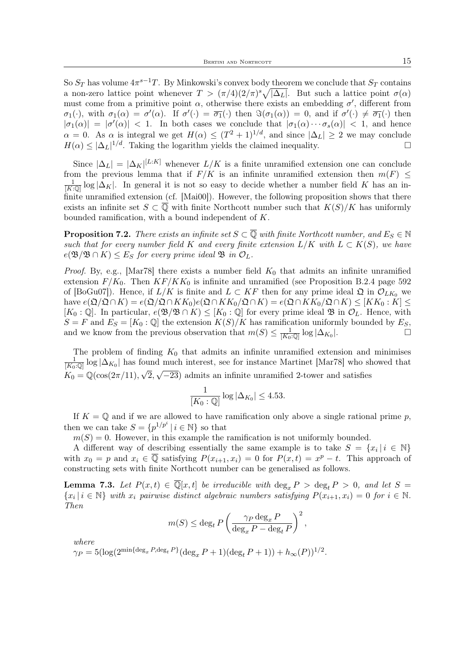So  $S_T$  has volume  $4\pi^{s-1}T$ . By Minkowski's convex body theorem we conclude that  $S_T$  contains a non-zero lattice point whenever  $T > (\pi/4)(2/\pi)^s \sqrt{|\Delta_L|}$ . But such a lattice point  $\sigma(\alpha)$ must come from a primitive point  $\alpha$ , otherwise there exists an embedding  $\sigma'$ , different from  $\sigma_1(\cdot)$ , with  $\sigma_1(\alpha) = \sigma'(\alpha)$ . If  $\sigma'(\cdot) = \overline{\sigma_1}(\cdot)$  then  $\Im(\sigma_1(\alpha)) = 0$ , and if  $\sigma'(\cdot) \neq \overline{\sigma_1}(\cdot)$  then  $|\sigma_1(\alpha)| = |\sigma'(\alpha)| < 1$ . In both cases we conclude that  $|\sigma_1(\alpha) \cdots \sigma_s(\alpha)| < 1$ , and hence  $\alpha = 0$ . As  $\alpha$  is integral we get  $H(\alpha) \leq (T^2 + 1)^{1/d}$ , and since  $|\Delta_L| \geq 2$  we may conclude  $H(\alpha) \leq |\Delta_L|^{1/d}$ . Taking the logarithm yields the claimed inequality.

Since  $|\Delta_L| = |\Delta_K|^{[L:K]}$  whenever  $L/K$  is a finite unramified extension one can conclude from the previous lemma that if  $F/K$  is an infinite unramified extension then  $m(F) \leq$  $\frac{1}{[K:\mathbb{Q}]} \log |\Delta_K|$ . In general it is not so easy to decide whether a number field K has an infinite unramified extension (cf. [Mai00]). However, the following proposition shows that there exists an infinite set  $S \subset \mathbb{Q}$  with finite Northcott number such that  $K(S)/K$  has uniformly bounded ramification, with a bound independent of K.

**Proposition 7.2.** There exists an infinite set  $S \subset \overline{Q}$  with finite Northcott number, and  $E_S \in \mathbb{N}$ such that for every number field K and every finite extension  $L/K$  with  $L \subset K(S)$ , we have  $e(\mathfrak{B}/\mathfrak{B}\cap K)\leq E_S$  for every prime ideal  $\mathfrak{B}$  in  $\mathcal{O}_L$ .

*Proof.* By, e.g., [Mar78] there exists a number field  $K_0$  that admits an infinite unramified extension  $F/K_0$ . Then  $KF/KK_0$  is infinite and unramified (see Proposition B.2.4 page 592 of [BoGu07]). Hence, if  $L/K$  is finite and  $L \subset KF$  then for any prime ideal  $\mathfrak{Q}$  in  $\mathcal{O}_{LK_0}$  we have  $e(\mathfrak{Q}/\mathfrak{Q}\cap K) = e(\mathfrak{Q}/\mathfrak{Q}\cap KK_0)e(\mathfrak{Q}\cap KK_0/\mathfrak{Q}\cap K) = e(\mathfrak{Q}\cap KK_0/\mathfrak{Q}\cap K) \leq [KK_0:K] \leq$  $[K_0: \mathbb{Q}]$ . In particular,  $e(\mathfrak{B}/\mathfrak{B} \cap K) \leq [K_0: \mathbb{Q}]$  for every prime ideal  $\mathfrak{B}$  in  $\mathcal{O}_L$ . Hence, with  $S = F$  and  $E_S = [K_0 : \mathbb{Q}]$  the extension  $K(S)/K$  has ramification uniformly bounded by  $E_S$ , and we know from the previous observation that  $m(S) \leq \frac{1}{[K_0:\mathbb{Q}]} \log |\Delta_{K_0}|$ .

The problem of finding  $K_0$  that admits an infinite unramified extension and minimises  $\frac{1}{[K_0:\mathbb{Q}]}$  log  $|\Delta_{K_0}|$  has found much interest, see for instance Martinet [Mar78] who showed that  $K_0 = \mathbb{Q}(\cos(2\pi/11), \sqrt{2},$ √  $-\overline{23}$ ) admits an infinite unramified 2-tower and satisfies

$$
\frac{1}{[K_0:\mathbb{Q}]} \log |\Delta_{K_0}| \le 4.53.
$$

If  $K = \mathbb{Q}$  and if we are allowed to have ramification only above a single rational prime p, then we can take  $S = \{p^{1/p^i} \mid i \in \mathbb{N}\}\)$  so that

 $m(S) = 0$ . However, in this example the ramification is not uniformly bounded.

A different way of describing essentially the same example is to take  $S = \{x_i | i \in \mathbb{N}\}\$ with  $x_0 = p$  and  $x_i \in \overline{Q}$  satisfying  $P(x_{i+1}, x_i) = 0$  for  $P(x,t) = x^p - t$ . This approach of constructing sets with finite Northcott number can be generalised as follows.

**Lemma 7.3.** Let  $P(x,t) \in \overline{\mathbb{Q}}[x,t]$  be irreducible with  $\deg_x P > \deg_t P > 0$ , and let  $S =$  ${x_i | i \in \mathbb{N}}$  with  $x_i$  pairwise distinct algebraic numbers satisfying  $P(x_{i+1}, x_i) = 0$  for  $i \in \mathbb{N}$ . Then

$$
m(S) \le \deg_t P \left( \frac{\gamma_P \deg_x P}{\deg_x P - \deg_t P} \right)^2,
$$

where

 $\gamma_P = 5(\log(2^{\min\{\deg_x P, \deg_t P\}}(\deg_x P + 1)(\deg_t P + 1)) + h_{\infty}(P))^{1/2}.$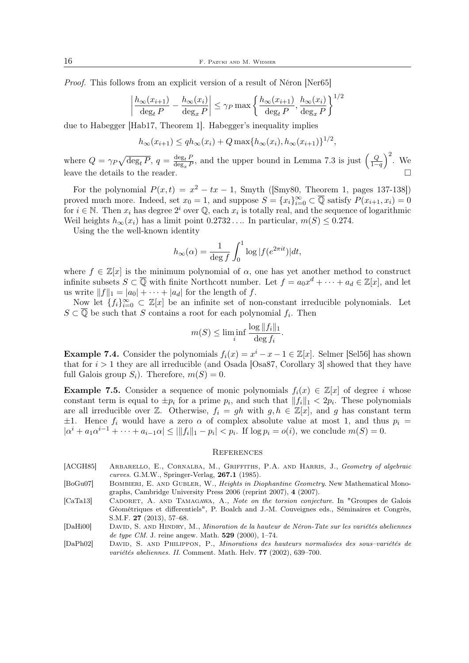Proof. This follows from an explicit version of a result of Néron [Ner65]

$$
\left| \frac{h_{\infty}(x_{i+1})}{\deg_t P} - \frac{h_{\infty}(x_i)}{\deg_x P} \right| \le \gamma_P \max \left\{ \frac{h_{\infty}(x_{i+1})}{\deg_t P}, \frac{h_{\infty}(x_i)}{\deg_x P} \right\}^{1/2}
$$

due to Habegger [Hab17, Theorem 1]. Habegger's inequality implies

$$
h_{\infty}(x_{i+1}) \leq q h_{\infty}(x_i) + Q \max\{h_{\infty}(x_i), h_{\infty}(x_{i+1})\}^{1/2},
$$

where  $Q = \gamma_P \sqrt{\deg_t P}, q = \frac{\deg_t P}{\deg_x P}$  $\frac{\deg_t P}{\deg_x P}$ , and the upper bound in Lemma 7.3 is just  $\left(\frac{Q}{1-P}\right)$  $\frac{Q}{1-q}$ )<sup>2</sup>. We leave the details to the reader.

For the polynomial  $P(x,t) = x^2 - tx - 1$ , Smyth ([Smy80, Theorem 1, pages 137-138]) proved much more. Indeed, set  $x_0 = 1$ , and suppose  $S = \{x_i\}_{i=0}^{\infty} \subset \overline{\mathbb{Q}}$  satisfy  $P(x_{i+1}, x_i) = 0$ for  $i \in \mathbb{N}$ . Then  $x_i$  has degree  $2^i$  over  $\mathbb{Q}$ , each  $x_i$  is totally real, and the sequence of logarithmic Weil heights  $h_{\infty}(x_i)$  has a limit point  $0.2732...$  In particular,  $m(S) \leq 0.274$ .

Using the the well-known identity

$$
h_{\infty}(\alpha) = \frac{1}{\deg f} \int_0^1 \log |f(e^{2\pi i t})| dt,
$$

where  $f \in \mathbb{Z}[x]$  is the minimum polynomial of  $\alpha$ , one has yet another method to construct infinite subsets  $S \subset \overline{Q}$  with finite Northcott number. Let  $f = a_0 x^d + \cdots + a_d \in \mathbb{Z}[x]$ , and let us write  $||f||_1 = |a_0| + \cdots + |a_d|$  for the length of f.

Now let  ${f_i}_{i=0}^{\infty} \subset \mathbb{Z}[x]$  be an infinite set of non-constant irreducible polynomials. Let  $S \subset \overline{Q}$  be such that S contains a root for each polynomial  $f_i$ . Then

$$
m(S) \le \liminf_{i} \frac{\log ||f_i||_1}{\deg f_i}.
$$

**Example 7.4.** Consider the polynomials  $f_i(x) = x^i - x - 1 \in \mathbb{Z}[x]$ . Selmer [Sel56] has shown that for  $i > 1$  they are all irreducible (and Osada [Osa87, Corollary 3] showed that they have full Galois group  $S_i$ ). Therefore,  $m(S) = 0$ .

**Example 7.5.** Consider a sequence of monic polynomials  $f_i(x) \in \mathbb{Z}[x]$  of degree i whose constant term is equal to  $\pm p_i$  for a prime  $p_i$ , and such that  $||f_i||_1 < 2p_i$ . These polynomials are all irreducible over Z. Otherwise,  $f_i = gh$  with  $g, h \in \mathbb{Z}[x]$ , and g has constant term  $\pm 1$ . Hence  $f_i$  would have a zero  $\alpha$  of complex absolute value at most 1, and thus  $p_i =$  $|\alpha^{i} + a_{1}\alpha^{i-1} + \cdots + a_{i-1}\alpha| \le ||f_{i}||_{1} - p_{i}| < p_{i}$ . If  $\log p_{i} = o(i)$ , we conclude  $m(S) = 0$ .

# **REFERENCES**

- [ACGH85] ARBARELLO, E., CORNALBA, M., GRIFFITHS, P.A. AND HARRIS, J., Geometry of algebraic curves. G.M.W., Springer-Verlag, 267.1 (1985).
- [BoGu07] BOMBIERI, E. AND GUBLER, W., *Heights in Diophantine Geometry*. New Mathematical Monographs, Cambridge University Press 2006 (reprint 2007), 4 (2007).
- [CaTa13] CADORET, A. AND TAMAGAWA, A., Note on the torsion conjecture. In "Groupes de Galois Géométriques et differentiels", P. Boalch and J.-M. Couveignes eds., Séminaires et Congrès, S.M.F. 27 (2013), 57–68.

[DaHi00] DAVID, S. AND HINDRY, M., Minoration de la hauteur de Néron-Tate sur les variétés abeliennes de type CM. J. reine angew. Math.  $529$  (2000), 1–74.

[DaPh02] David, S. and Philippon, P., Minorations des hauteurs normalisées des sous–variétés de variétés abeliennes. II. Comment. Math. Helv. 77 (2002), 639–700.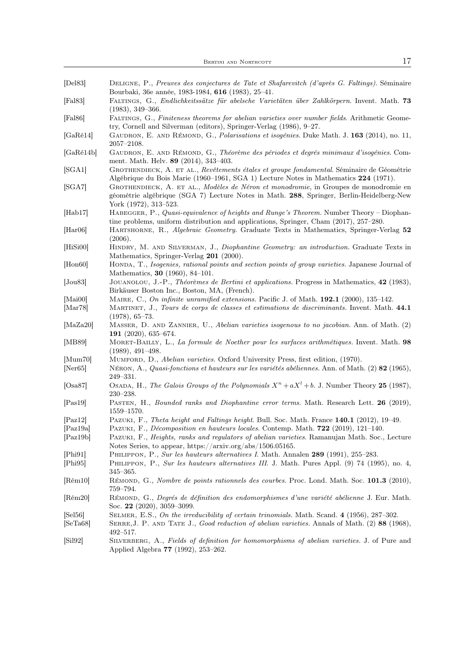| [Del83]                    | DELIGNE, P., Preuves des conjectures de Tate et Shafarevitch (d'après G. Faltings). Séminaire<br>Bourbaki, 36e année, 1983-1984, 616 (1983), 25-41.                                                                                                                                               |
|----------------------------|---------------------------------------------------------------------------------------------------------------------------------------------------------------------------------------------------------------------------------------------------------------------------------------------------|
| [False3]                   | FALTINGS, G., Endlichkeitssätze für abelsche Varietäten über Zahlkörpern. Invent. Math. 73<br>$(1983), 349 - 366.$                                                                                                                                                                                |
| [False6]                   | FALTINGS, G., Finiteness theorems for abelian varieties over number fields. Arithmetic Geome-                                                                                                                                                                                                     |
| [GaRé14]                   | try, Cornell and Silverman (editors), Springer-Verlag (1986), 9-27.<br>GAUDRON, E. AND RÉMOND, G., <i>Polarisations et isogénies</i> . Duke Math. J. 163 (2014), no. 11,                                                                                                                          |
| [GaRé14b]                  | $2057 - 2108.$<br>GAUDRON, E. AND RÉMOND, G., Théorème des périodes et degrés minimaux d'isogénies. Com-                                                                                                                                                                                          |
| [SGA1]                     | ment. Math. Helv. 89 (2014), 343-403.<br>GROTHENDIECK, A. ET AL., Revêtements étales et groupe fondamental. Séminaire de Géométrie                                                                                                                                                                |
| [SGA7]                     | Algébrique du Bois Marie (1960–1961, SGA 1) Lecture Notes in Mathematics 224 (1971).<br>GROTHENDIECK, A. ET AL., Modèles de Néron et monodromie, in Groupes de monodromie en<br>géométrie algébrique (SGA 7) Lecture Notes in Math. 288, Springer, Berlin-Heidelberg-New<br>York (1972), 313-523. |
| [Hab17]                    | HABEGGER, P., Quasi-equivalence of heights and Runge's Theorem. Number Theory - Diophan-<br>tine problems, uniform distribution and applications, Springer, Cham (2017), 257–280.                                                                                                                 |
| [Har06]                    | HARTSHORNE, R., Algebraic Geometry. Graduate Texts in Mathematics, Springer-Verlag 52<br>(2006).                                                                                                                                                                                                  |
| [Hisi00]                   | HINDRY, M. AND SILVERMAN, J., <i>Diophantine Geometry: an introduction</i> . Graduate Texts in<br>Mathematics, Springer-Verlag 201 (2000).                                                                                                                                                        |
| $[$ Hon $60]$              | HONDA, T., Isogenies, rational points and section points of group varieties. Japanese Journal of<br>Mathematics, <b>30</b> (1960), 84-101.                                                                                                                                                        |
| $[$ Jou $83]$              | JOUANOLOU, J.-P., Théorèmes de Bertini et applications. Progress in Mathematics, 42 (1983),<br>Birkäuser Boston Inc., Boston, MA, (French).                                                                                                                                                       |
| [Mai00]                    | MAIRE, C., On infinite unramified extensions. Pacific J. of Math. 192.1 (2000), 135–142.                                                                                                                                                                                                          |
| $\vert\mathrm{Mar78}\vert$ | MARTINET, J., Tours de corps de classes et estimations de discriminants. Invent. Math. 44.1<br>$(1978), 65-73.$                                                                                                                                                                                   |
| [MaZa20]                   | MASSER, D. AND ZANNIER, U., Abelian varieties isogenous to no jacobian. Ann. of Math. (2)<br>191 $(2020)$ , 635–674.                                                                                                                                                                              |
| [MB89]                     | MORET-BAILLY, L., La formule de Noether pour les surfaces arithmétiques. Invent. Math. 98<br>$(1989), 491-498.$                                                                                                                                                                                   |
| [Mum70]                    | MUMFORD, D., Abelian varieties. Oxford University Press, first edition, (1970).                                                                                                                                                                                                                   |
| [Ner65]                    | NÉRON, A., Quasi-fonctions et hauteurs sur les variétés abéliennes. Ann. of Math. $(2)$ 82 (1965),<br>$249 - 331.$                                                                                                                                                                                |
| [Osa87]                    | OSADA, H., The Galois Groups of the Polynomials $X^n + aX^l + b$ . J. Number Theory 25 (1987),<br>$230 - 238.$                                                                                                                                                                                    |
| [Pas19]                    | PASTEN, H., Bounded ranks and Diophantine error terms. Math. Research Lett. 26 (2019),<br>1559-1570.                                                                                                                                                                                              |
| $[{\rm Paz}12]$            | PAZUKI, F., Theta height and Faltings height. Bull. Soc. Math. France 140.1 (2012), 19–49.                                                                                                                                                                                                        |
| $\vert$ Paz19a $\vert$     | PAZUKI, F., Décomposition en hauteurs locales. Contemp. Math. 722 (2019), 121-140.                                                                                                                                                                                                                |
| $[{\rm Paz}19b]$           | PAZUKI, F., <i>Heights, ranks and regulators of abelian varieties</i> . Ramanujan Math. Soc., Lecture<br>Notes Series, to appear, https://arxiv.org/abs/1506.05165.                                                                                                                               |
| [Phi1]                     | PHILIPPON, P., Sur les hauteurs alternatives I. Math. Annalen 289 (1991), 255–283.                                                                                                                                                                                                                |
| [Phi5]                     | PHILIPPON, P., Sur les hauteurs alternatives III. J. Math. Pures Appl. (9) 74 (1995), no. 4,<br>$345 - 365.$                                                                                                                                                                                      |
| R <sub>em10</sub>          | RÉMOND, G., Nombre de points rationnels des courbes. Proc. Lond. Math. Soc. 101.3 (2010),<br>759–794.                                                                                                                                                                                             |
| [Rém20]                    | RÉMOND, G., Degrés de définition des endomorphismes d'une variété abélienne J. Eur. Math.<br>Soc. 22 $(2020)$ , 3059-3099.                                                                                                                                                                        |
| [Sel56]                    | SELMER, E.S., On the irreducibility of certain trinomials. Math. Scand. 4 (1956), 287-302.                                                                                                                                                                                                        |
| SeTa68                     | SERRE, J. P. AND TATE J., Good reduction of abelian varieties. Annals of Math. (2) 88 (1968),<br>492–517.                                                                                                                                                                                         |
| Si192                      | SILVERBERG, A., Fields of definition for homomorphisms of abelian varieties. J. of Pure and<br>Applied Algebra 77 (1992), 253–262.                                                                                                                                                                |